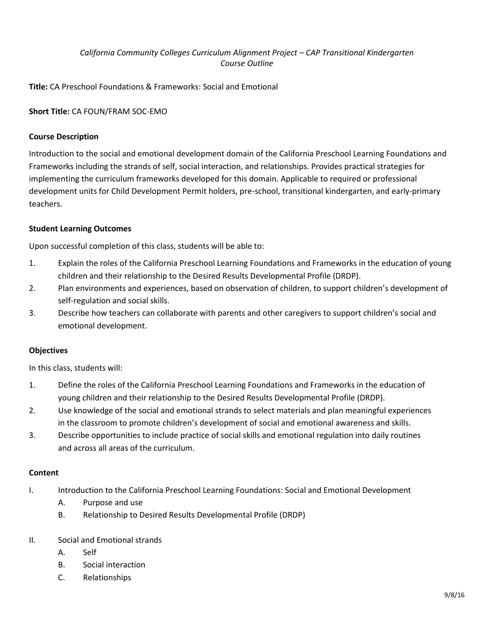# *California Community Colleges Curriculum Alignment Project – CAP Transitional Kindergarten Course Outline*

**Title:** CA Preschool Foundations & Frameworks: Social and Emotional

## **Short Title:** CA FOUN/FRAM SOC-EMO

## **Course Description**

Introduction to the social and emotional development domain of the California Preschool Learning Foundations and Frameworks including the strands of self, social interaction, and relationships. Provides practical strategies for implementing the curriculum frameworks developed for this domain. Applicable to required or professional development units for Child Development Permit holders, pre-school, transitional kindergarten, and early-primary teachers.

## **Student Learning Outcomes**

Upon successful completion of this class, students will be able to:

- 1. Explain the roles of the California Preschool Learning Foundations and Frameworks in the education of young children and their relationship to the Desired Results Developmental Profile (DRDP).
- 2. Plan environments and experiences, based on observation of children, to support children's development of self-regulation and social skills.
- 3. Describe how teachers can collaborate with parents and other caregivers to support children's social and emotional development.

### **Objectives**

In this class, students will:

- 1. Define the roles of the California Preschool Learning Foundations and Frameworks in the education of young children and their relationship to the Desired Results Developmental Profile (DRDP).
- 2. Use knowledge of the social and emotional strands to select materials and plan meaningful experiences in the classroom to promote children's development of social and emotional awareness and skills.
- 3. Describe opportunities to include practice of social skills and emotional regulation into daily routines and across all areas of the curriculum.

### **Content**

- I. Introduction to the California Preschool Learning Foundations: Social and Emotional Development
	- A. Purpose and use
	- B. Relationship to Desired Results Developmental Profile (DRDP)
- II. Social and Emotional strands
	- A. Self
	- B. Social interaction
	- C. Relationships